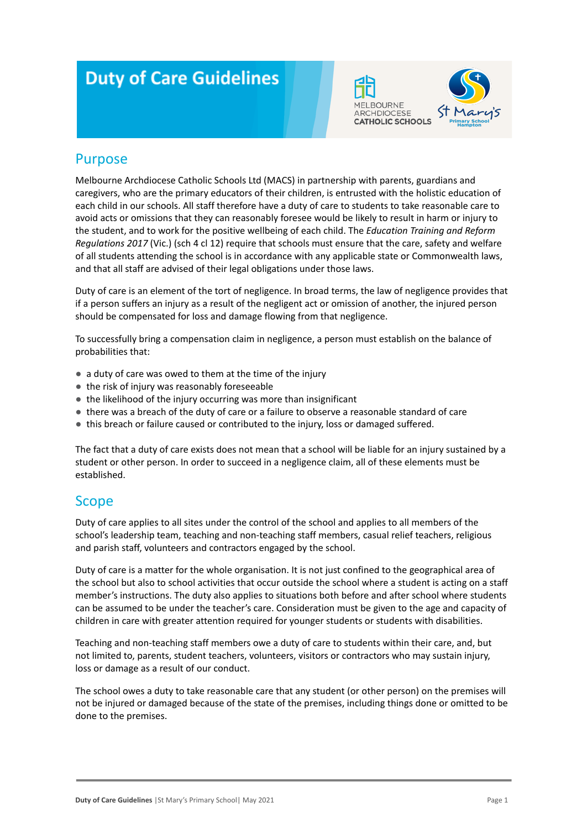# **Duty of Care Guidelines**





### Purpose

Melbourne Archdiocese Catholic Schools Ltd (MACS) in partnership with parents, guardians and caregivers, who are the primary educators of their children, is entrusted with the holistic education of each child in our schools. All staff therefore have a duty of care to students to take reasonable care to avoid acts or omissions that they can reasonably foresee would be likely to result in harm or injury to the student, and to work for the positive wellbeing of each child. The *Education Training and Reform Regulations 2017* (Vic.) (sch 4 cl 12) require that schools must ensure that the care, safety and welfare of all students attending the school is in accordance with any applicable state or Commonwealth laws, and that all staff are advised of their legal obligations under those laws.

Duty of care is an element of the tort of negligence. In broad terms, the law of negligence provides that if a person suffers an injury as a result of the negligent act or omission of another, the injured person should be compensated for loss and damage flowing from that negligence.

To successfully bring a compensation claim in negligence, a person must establish on the balance of probabilities that:

- a duty of care was owed to them at the time of the injury
- the risk of injury was reasonably foreseeable
- the likelihood of the injury occurring was more than insignificant
- there was a breach of the duty of care or a failure to observe a reasonable standard of care
- this breach or failure caused or contributed to the injury, loss or damaged suffered.

The fact that a duty of care exists does not mean that a school will be liable for an injury sustained by a student or other person. In order to succeed in a negligence claim, all of these elements must be established.

#### **Scope**

Duty of care applies to all sites under the control of the school and applies to all members of the school's leadership team, teaching and non-teaching staff members, casual relief teachers, religious and parish staff, volunteers and contractors engaged by the school.

Duty of care is a matter for the whole organisation. It is not just confined to the geographical area of the school but also to school activities that occur outside the school where a student is acting on a staff member's instructions. The duty also applies to situations both before and after school where students can be assumed to be under the teacher's care. Consideration must be given to the age and capacity of children in care with greater attention required for younger students or students with disabilities.

Teaching and non-teaching staff members owe a duty of care to students within their care, and, but not limited to, parents, student teachers, volunteers, visitors or contractors who may sustain injury, loss or damage as a result of our conduct.

The school owes a duty to take reasonable care that any student (or other person) on the premises will not be injured or damaged because of the state of the premises, including things done or omitted to be done to the premises.